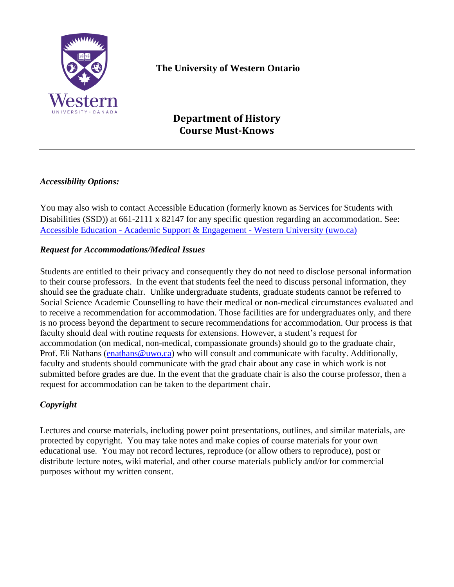

# **The University of Western Ontario**

# **Department of History Course Must-Knows**

### *Accessibility Options:*

You may also wish to contact Accessible Education (formerly known as Services for Students with Disabilities (SSD)) at 661-2111 x 82147 for any specific question regarding an accommodation. See: Accessible Education - [Academic Support & Engagement -](http://academicsupport.uwo.ca/accessible_education/index.html) Western University (uwo.ca)

#### *Request for Accommodations/Medical Issues*

Students are entitled to their privacy and consequently they do not need to disclose personal information to their course professors. In the event that students feel the need to discuss personal information, they should see the graduate chair. Unlike undergraduate students, graduate students cannot be referred to Social Science Academic Counselling to have their medical or non-medical circumstances evaluated and to receive a recommendation for accommodation. Those facilities are for undergraduates only, and there is no process beyond the department to secure recommendations for accommodation. Our process is that faculty should deal with routine requests for extensions. However, a student's request for accommodation (on medical, non-medical, compassionate grounds) should go to the graduate chair, Prof. Eli Nathans [\(enathans@uwo.ca\)](mailto:enathans@uwo.ca) who will consult and communicate with faculty. Additionally, faculty and students should communicate with the grad chair about any case in which work is not submitted before grades are due. In the event that the graduate chair is also the course professor, then a request for accommodation can be taken to the department chair.

## *Copyright*

Lectures and course materials, including power point presentations, outlines, and similar materials, are protected by copyright. You may take notes and make copies of course materials for your own educational use. You may not record lectures, reproduce (or allow others to reproduce), post or distribute lecture notes, wiki material, and other course materials publicly and/or for commercial purposes without my written consent.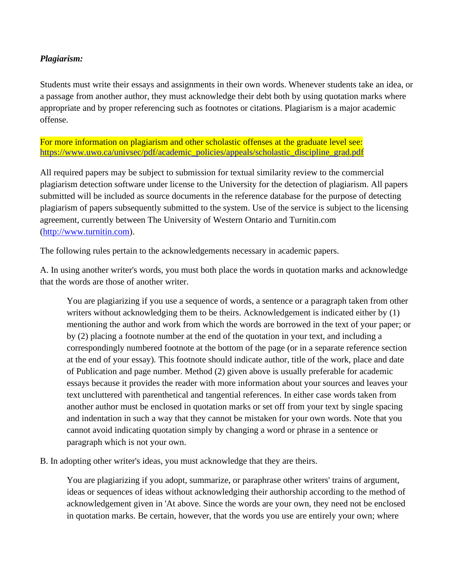#### *Plagiarism:*

Students must write their essays and assignments in their own words. Whenever students take an idea, or a passage from another author, they must acknowledge their debt both by using quotation marks where appropriate and by proper referencing such as footnotes or citations. Plagiarism is a major academic offense.

For more information on plagiarism and other scholastic offenses at the graduate level see: [https://www.uwo.ca/univsec/pdf/academic\\_policies/appeals/scholastic\\_discipline\\_grad.pdf](https://www.uwo.ca/univsec/pdf/academic_policies/appeals/scholastic_discipline_grad.pdf)

All required papers may be subject to submission for textual similarity review to the commercial plagiarism detection software under license to the University for the detection of plagiarism. All papers submitted will be included as source documents in the reference database for the purpose of detecting plagiarism of papers subsequently submitted to the system. Use of the service is subject to the licensing agreement, currently between The University of Western Ontario and Turnitin.com [\(http://www.turnitin.com\)](http://www.turnitin.com/).

The following rules pertain to the acknowledgements necessary in academic papers.

A. In using another writer's words, you must both place the words in quotation marks and acknowledge that the words are those of another writer.

You are plagiarizing if you use a sequence of words, a sentence or a paragraph taken from other writers without acknowledging them to be theirs. Acknowledgement is indicated either by (1) mentioning the author and work from which the words are borrowed in the text of your paper; or by (2) placing a footnote number at the end of the quotation in your text, and including a correspondingly numbered footnote at the bottom of the page (or in a separate reference section at the end of your essay). This footnote should indicate author, title of the work, place and date of Publication and page number. Method (2) given above is usually preferable for academic essays because it provides the reader with more information about your sources and leaves your text uncluttered with parenthetical and tangential references. In either case words taken from another author must be enclosed in quotation marks or set off from your text by single spacing and indentation in such a way that they cannot be mistaken for your own words. Note that you cannot avoid indicating quotation simply by changing a word or phrase in a sentence or paragraph which is not your own.

B. In adopting other writer's ideas, you must acknowledge that they are theirs.

You are plagiarizing if you adopt, summarize, or paraphrase other writers' trains of argument, ideas or sequences of ideas without acknowledging their authorship according to the method of acknowledgement given in 'At above. Since the words are your own, they need not be enclosed in quotation marks. Be certain, however, that the words you use are entirely your own; where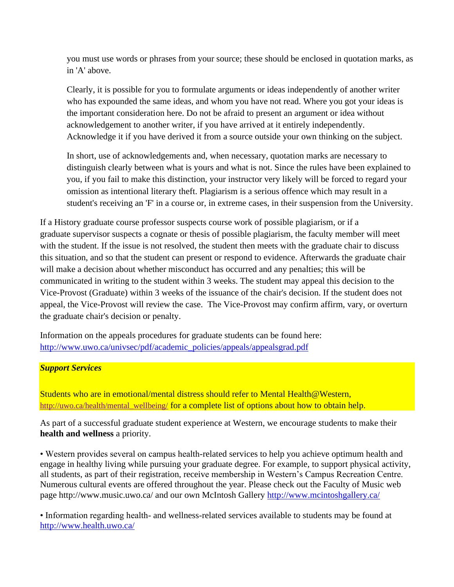you must use words or phrases from your source; these should be enclosed in quotation marks, as in 'A' above.

Clearly, it is possible for you to formulate arguments or ideas independently of another writer who has expounded the same ideas, and whom you have not read. Where you got your ideas is the important consideration here. Do not be afraid to present an argument or idea without acknowledgement to another writer, if you have arrived at it entirely independently. Acknowledge it if you have derived it from a source outside your own thinking on the subject.

In short, use of acknowledgements and, when necessary, quotation marks are necessary to distinguish clearly between what is yours and what is not. Since the rules have been explained to you, if you fail to make this distinction, your instructor very likely will be forced to regard your omission as intentional literary theft. Plagiarism is a serious offence which may result in a student's receiving an 'F' in a course or, in extreme cases, in their suspension from the University.

If a History graduate course professor suspects course work of possible plagiarism, or if a graduate supervisor suspects a cognate or thesis of possible plagiarism, the faculty member will meet with the student. If the issue is not resolved, the student then meets with the graduate chair to discuss this situation, and so that the student can present or respond to evidence. Afterwards the graduate chair will make a decision about whether misconduct has occurred and any penalties; this will be communicated in writing to the student within 3 weeks. The student may appeal this decision to the Vice-Provost (Graduate) within 3 weeks of the issuance of the chair's decision. If the student does not appeal, the Vice-Provost will review the case. The Vice-Provost may confirm affirm, vary, or overturn the graduate chair's decision or penalty.

Information on the appeals procedures for graduate students can be found here: [http://www.uwo.ca/univsec/pdf/academic\\_policies/appeals/appealsgrad.pdf](http://www.uwo.ca/univsec/pdf/academic_policies/appeals/appealsgrad.pdf)

#### *Support Services*

Students who are in emotional/mental distress should refer to Mental Health@Western, [http://uwo.ca/health/mental\\_wellbeing/](http://uwo.ca/health/mental_wellbeing/) for a complete list of options about how to obtain help.

As part of a successful graduate student experience at Western, we encourage students to make their **health and wellness** a priority.

• Western provides several on campus health-related services to help you achieve optimum health and engage in healthy living while pursuing your graduate degree. For example, to support physical activity, all students, as part of their registration, receive membership in Western's Campus Recreation Centre. Numerous cultural events are offered throughout the year. Please check out the Faculty of Music web page http://www.music.uwo.ca/ and our own McIntosh Gallery<http://www.mcintoshgallery.ca/>

• Information regarding health- and wellness-related services available to students may be found at <http://www.health.uwo.ca/>